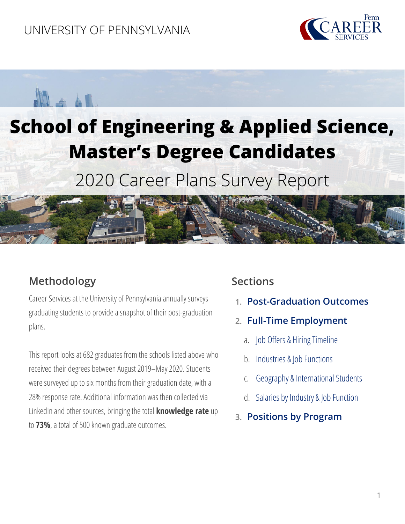### UNIVERSITY OF PENNSYLVANIA





# **School of Engineering & Applied Science, Master's Degree Candidates**

2020 Career Plans Survey Report



Career Services at the University of Pennsylvania annually surveys graduating students to provide a snapshot of their post-graduation plans.

This report looks at 682 graduates from the schools listed above who received their degrees between August 2019–May 2020. Students were surveyed up to six months from their graduation date, with a 28% response rate. Additional information was then collected via LinkedIn and other sources, bringing the total **knowledge rate** up to **73%**, a total of 500 known graduate outcomes.

### **Sections**

- **1. [Post-Graduation Outcomes](#page-1-0)**
- **2. [Full-Time Employment](#page-1-1)**
	- a. [Job Offers & Hiring Timeline](#page-1-1)
	- b. [Industries & Job Functions](#page-2-0)
	- c. [Geography & International Students](#page-3-0)
	- d. [Salaries by Industry & Job Function](#page-4-0)
- **3. [Positions by](#page-6-0) Program**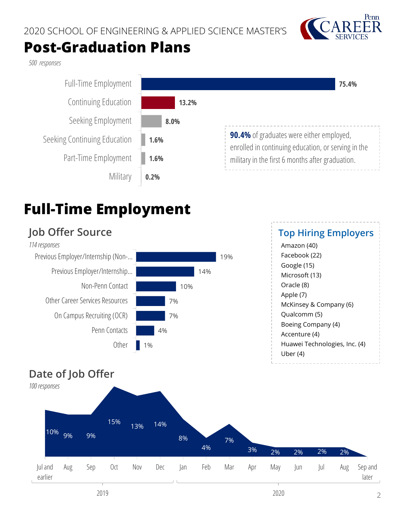

### **Post-Graduation Plans**

<span id="page-1-0"></span>*500 responses* 



## <span id="page-1-1"></span>**Full-Time Employment**

#### **Date of Job Offer**  $1\%$ 4% 7% 7% 10% 14% 19% **Other** Penn Contacts On Campus Recruiting (OCR) Other Career Services Resources Non-Penn Contact Previous Employer/Internship… Previous Employer/Internship (Non-… **Job Offer Source** *114 responses*  **Top Hiring Employers** Amazon (40) Facebook (22) Google (15) Microsoft (13) Oracle (8) Apple (7) McKinsey & Company (6) Qualcomm (5) Boeing Company (4) Accenture (4) Huawei Technologies, Inc. (4) Uber (4)

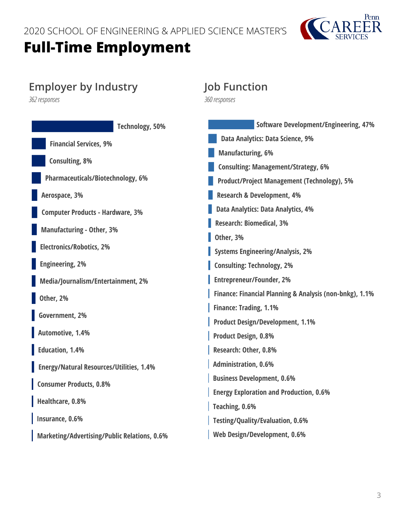

### <span id="page-2-0"></span>**Employer by Industry**

*362 responses* 

| <b>Software Development/Engineering, 47%</b>            |
|---------------------------------------------------------|
| Data Analytics: Data Science, 9%                        |
| <b>Manufacturing, 6%</b>                                |
| <b>Consulting: Management/Strategy, 6%</b>              |
| <b>Product/Project Management (Technology), 5%</b>      |
| <b>Research &amp; Development, 4%</b>                   |
| Data Analytics: Data Analytics, 4%                      |
| <b>Research: Biomedical, 3%</b>                         |
| Other, 3%                                               |
| <b>Systems Engineering/Analysis, 2%</b>                 |
| <b>Consulting: Technology, 2%</b>                       |
| <b>Entrepreneur/Founder, 2%</b>                         |
| Finance: Financial Planning & Analysis (non-bnkg), 1.1% |
| <b>Finance: Trading, 1.1%</b>                           |
| <b>Product Design/Development, 1.1%</b>                 |
| <b>Product Design, 0.8%</b>                             |
| Research: Other, 0.8%                                   |
| <b>Administration, 0.6%</b>                             |
| <b>Business Development, 0.6%</b>                       |
| <b>Energy Exploration and Production, 0.6%</b>          |
| Teaching, 0.6%                                          |
| <b>Testing/Quality/Evaluation, 0.6%</b>                 |
| Web Design/Development, 0.6%                            |
|                                                         |

**Job Function**

*360 responses*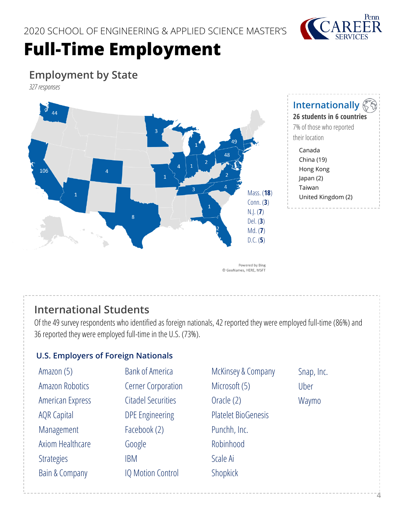

### <span id="page-3-0"></span>**Employment by State**

*327responses*



#### **Internationally**

**26 students in 6 countries**  7% of those who reported

- their location Canada
	- China (19) Hong Kong Japan (2) Taiwan United Kingdom (2)

### **International Students**

Of the 49 survey respondents who identified as foreign nationals, 42 reported they were employed full-time(86%) and 36 reported they were employed full-time in the U.S. (73%).

#### **U.S. Employers of Foreign Nationals**

| Amazon (5)                | <b>Bank of America</b>    | McKinsey & Company         | Snap, Inc. |
|---------------------------|---------------------------|----------------------------|------------|
| Amazon Robotics           | <b>Cerner Corporation</b> | Microsoft (5)              | Uber       |
| American Express          | <b>Citadel Securities</b> | Oracle (2)                 | Waymo      |
| <b>AQR Capital</b>        | <b>DPE Engineering</b>    | <b>Platelet BioGenesis</b> |            |
| Management                | Facebook (2)              | Punchh, Inc.               |            |
| Axiom Healthcare          | Google                    | Robinhood                  |            |
| <b>Strategies</b>         | <b>IBM</b>                | Scale Ai                   |            |
| <b>Bain &amp; Company</b> | <b>IQ Motion Control</b>  | Shopkick                   |            |
|                           |                           |                            |            |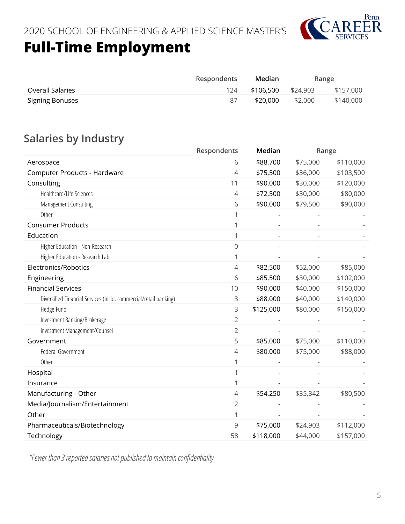

<span id="page-4-0"></span>

|                        | <b>Respondents</b> | Median    |          | Range     |
|------------------------|--------------------|-----------|----------|-----------|
| Overall Salaries       | 124                | \$106.500 | \$24,903 | \$157,000 |
| <b>Signing Bonuses</b> |                    | \$20,000  | \$2.000  | \$140,000 |

### **Salaries by Industry**

|                                                                   | Respondents    | Median                   |                          | Range     |
|-------------------------------------------------------------------|----------------|--------------------------|--------------------------|-----------|
| Aerospace                                                         | 6              | \$88,700                 | \$75,000                 | \$110,000 |
| Computer Products - Hardware                                      | 4              | \$75,500                 | \$36,000                 | \$103,500 |
| Consulting                                                        | 11             | \$90,000                 | \$30,000                 | \$120,000 |
| Healthcare/Life Sciences                                          | 4              | \$72,500                 | \$30,000                 | \$80,000  |
| Management Consulting                                             | 6              | \$90,000                 | \$79,500                 | \$90,000  |
| Other                                                             | 1              |                          |                          |           |
| <b>Consumer Products</b>                                          | 1              |                          |                          |           |
| Education                                                         | 1              | $\overline{\phantom{a}}$ | $\overline{\phantom{a}}$ |           |
| Higher Education - Non-Research                                   | 0              |                          |                          |           |
| Higher Education - Research Lab                                   | 1              |                          |                          |           |
| Electronics/Robotics                                              | 4              | \$82,500                 | \$52,000                 | \$85,000  |
| Engineering                                                       | 6              | \$85,500                 | \$30,000                 | \$102,000 |
| <b>Financial Services</b>                                         | 10             | \$90,000                 | \$40,000                 | \$150,000 |
| Diversified Financial Services (incld. commercial/retail banking) | 3              | \$88,000                 | \$40,000                 | \$140,000 |
| Hedge Fund                                                        | 3              | \$125,000                | \$80,000                 | \$150,000 |
| Investment Banking/Brokerage                                      | $\overline{2}$ |                          |                          |           |
| Investment Management/Counsel                                     | $\overline{2}$ |                          |                          |           |
| Government                                                        | 5              | \$85,000                 | \$75,000                 | \$110,000 |
| Federal Government                                                | 4              | \$80,000                 | \$75,000                 | \$88,000  |
| Other                                                             | 1              |                          |                          |           |
| Hospital                                                          | 1              | $\overline{a}$           |                          |           |
| Insurance                                                         | 1              |                          |                          |           |
| Manufacturing - Other                                             | 4              | \$54,250                 | \$35,342                 | \$80,500  |
| Media/Journalism/Entertainment                                    | 2              |                          |                          |           |
| Other                                                             | 1              |                          |                          |           |
| Pharmaceuticals/Biotechnology                                     | 9              | \$75,000                 | \$24,903                 | \$112,000 |
| Technology                                                        | 58             | \$118,000                | \$44,000                 | \$157,000 |

*\*Fewer than 3 reported salaries not published to maintain confidentiality.*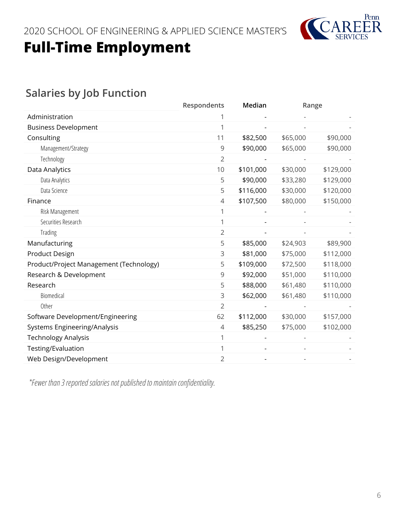

### **Salaries by Job Function**

|                                         | Respondents    | Median    |          | Range     |
|-----------------------------------------|----------------|-----------|----------|-----------|
| Administration                          |                |           |          |           |
| <b>Business Development</b>             |                |           |          |           |
| Consulting                              | 11             | \$82,500  | \$65,000 | \$90,000  |
| Management/Strategy                     | 9              | \$90,000  | \$65,000 | \$90,000  |
| Technology                              | $\overline{2}$ |           |          |           |
| Data Analytics                          | 10             | \$101,000 | \$30,000 | \$129,000 |
| Data Analytics                          | 5              | \$90,000  | \$33,280 | \$129,000 |
| Data Science                            | 5              | \$116,000 | \$30,000 | \$120,000 |
| Finance                                 | 4              | \$107,500 | \$80,000 | \$150,000 |
| Risk Management                         |                |           |          |           |
| Securities Research                     |                |           |          |           |
| Trading                                 | 2              |           |          |           |
| Manufacturing                           | 5              | \$85,000  | \$24,903 | \$89,900  |
| Product Design                          | 3              | \$81,000  | \$75,000 | \$112,000 |
| Product/Project Management (Technology) | 5              | \$109,000 | \$72,500 | \$118,000 |
| Research & Development                  | 9              | \$92,000  | \$51,000 | \$110,000 |
| Research                                | 5              | \$88,000  | \$61,480 | \$110,000 |
| Biomedical                              | 3              | \$62,000  | \$61,480 | \$110,000 |
| Other                                   | $\overline{2}$ |           |          |           |
| Software Development/Engineering        | 62             | \$112,000 | \$30,000 | \$157,000 |
| Systems Engineering/Analysis            | $\overline{4}$ | \$85,250  | \$75,000 | \$102,000 |
| <b>Technology Analysis</b>              |                |           |          |           |
| Testing/Evaluation                      |                |           |          |           |
| Web Design/Development                  | 2              |           |          |           |

*\*Fewer than 3 reported salaries not published to maintain confidentiality.*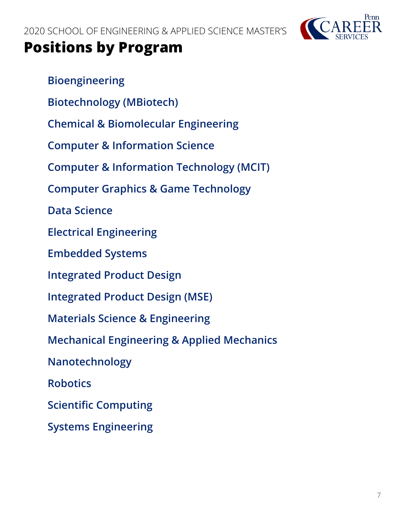

### <span id="page-6-0"></span>**Positions by Program**

**[Bioengineering](#page-7-0) [Biotechnology \(MBiotech\)](#page-7-1) [Chemical & Biomolecular Engineering](#page-8-0) [Computer & Information Science](#page-8-1) [Computer & Information Technology \(MCIT\)](#page-9-0) [Computer Graphics & Game Technology](#page-10-0) [Data Science](#page-11-0) [Electrical Engineering](#page-12-0) [Embedded Systems](#page-13-0) [Integrated Product Design](#page-13-1) [Integrated Product Design \(MSE\)](#page-13-2) [Materials Science & Engineering](#page-13-3) [Mechanical Engineering & Applied Mechanics](#page-14-0) [Nanotechnology](#page-14-1) [Robotics](#page-15-0) [Scientific Computing](#page-16-0) [Systems Engineering](#page-16-1)**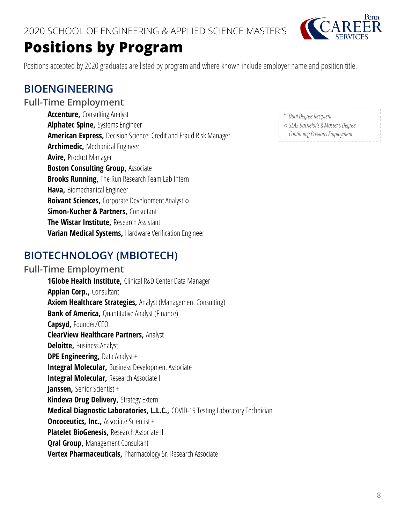

### **Positions by Program**

Positions accepted by 2020 graduates are listed by program and where known include employer name and position title.

### <span id="page-7-0"></span>**BIOENGINEERING**

#### **Full-Time Employment**

**Accenture,** Consulting Analyst **Alphatec Spine,** Systems Engineer **American Express,** Decision Science, Credit and Fraud Risk Manager **Archimedic,** Mechanical Engineer **Avire,** Product Manager **Boston Consulting Group, Associate Brooks Running,** The Run Research Team Lab Intern **Hava,** Biomechanical Engineer **Roivant Sciences,** Corporate Development Analyst ○ **Simon-Kucher & Partners,** Consultant **The Wistar Institute,** Research Assistant **Varian Medical Systems,** Hardware Verification Engineer

### <span id="page-7-1"></span>**BIOTECHNOLOGY (MBIOTECH)**

#### **Full-Time Employment**

**1Globe Health Institute,** Clinical R&D Center Data Manager **Appian Corp.,** Consultant **Axiom Healthcare Strategies,** Analyst (Management Consulting) **Bank of America, Quantitative Analyst (Finance) Capsyd,** Founder/CEO **ClearView Healthcare Partners,** Analyst **Deloitte,** Business Analyst **DPE Engineering, Data Analyst + Integral Molecular,** Business Development Associate **Integral Molecular,** Research Associate I **Janssen,** Senior Scientist + **Kindeva Drug Delivery,** Strategy Extern **Medical Diagnostic Laboratories, L.L.C.,** COVID-19 Testing Laboratory Technician **Oncoceutics, Inc., Associate Scientist + Platelet BioGenesis,** Research Associate II **Qral Group,** Management Consultant **Vertex Pharmaceuticals,** Pharmacology Sr. Research Associate

- \* *Dual Degree Recipient*
- *SEAS Bachelor's & Master's Degree*
- + *Continuing Previous Employment*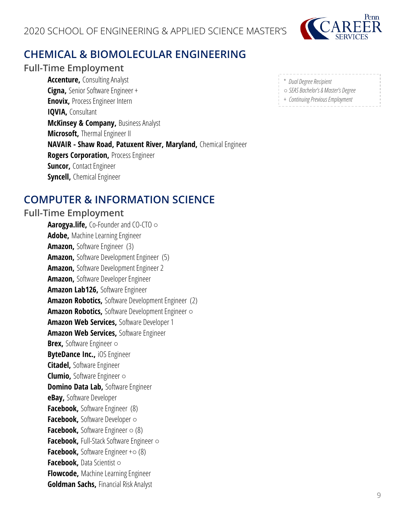

### <span id="page-8-0"></span>**CHEMICAL & BIOMOLECULAR ENGINEERING**

#### **Full-Time Employment**

**Accenture,** Consulting Analyst **Cigna,** Senior Software Engineer + **Enovix,** Process Engineer Intern **IQVIA, Consultant McKinsey & Company, Business Analyst Microsoft,** Thermal Engineer II **NAVAIR - Shaw Road, Patuxent River, Maryland,** Chemical Engineer **Rogers Corporation,** Process Engineer **Suncor,** Contact Engineer **Syncell,** Chemical Engineer

### <span id="page-8-1"></span>**COMPUTER & INFORMATION SCIENCE**

#### **Full-Time Employment**

**Aarogya.life,** Co-Founder and CO-CTO ○ **Adobe,** Machine Learning Engineer **Amazon,** Software Engineer (3) **Amazon,** Software Development Engineer (5) **Amazon,** Software Development Engineer 2 **Amazon,** Software Developer Engineer **Amazon Lab126,** Software Engineer **Amazon Robotics,** Software Development Engineer (2) **Amazon Robotics,** Software Development Engineer ○ **Amazon Web Services,** Software Developer 1 **Amazon Web Services,** Software Engineer **Brex,** Software Engineer ○ **ByteDance Inc.,** iOS Engineer **Citadel,** Software Engineer **Clumio,** Software Engineer ○ **Domino Data Lab, Software Engineer eBay,** Software Developer **Facebook, Software Engineer (8) Facebook,** Software Developer ○ **Facebook,** Software Engineer ○ (8) **Facebook,** Full-Stack Software Engineer ○ **Facebook, Software Engineer +o (8) Facebook,** Data Scientist ○ **Flowcode,** Machine Learning Engineer **Goldman Sachs,** Financial Risk Analyst

| * Dual Degree Recipient             |  |
|-------------------------------------|--|
| ○ SEAS Bachelor's & Master's Degree |  |
| Continuing Drawinus Employment      |  |

+ *Continuing Previous Employment*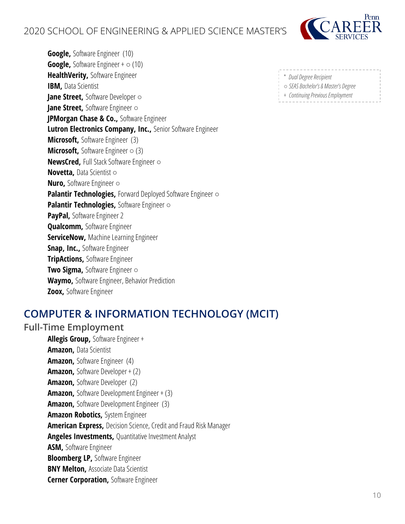

**Google,** Software Engineer (10) **Google, Software Engineer +**  $\circ$  **(10) HealthVerity,** Software Engineer **IBM, Data Scientist Jane Street,** Software Developer ○ **Jane Street,** Software Engineer ○ **JPMorgan Chase & Co.,** Software Engineer **Lutron Electronics Company, Inc.,** Senior Software Engineer **Microsoft,** Software Engineer (3) **Microsoft, Software Engineer ○ (3) NewsCred,** Full Stack Software Engineer ○ **Novetta,** Data Scientist ○ **Nuro,** Software Engineer ○ **Palantir Technologies, Forward Deployed Software Engineer o Palantir Technologies,** Software Engineer ○ **PayPal,** Software Engineer 2 **Qualcomm,** Software Engineer **ServiceNow,** Machine Learning Engineer **Snap, Inc., Software Engineer TripActions,** Software Engineer **Two Sigma,** Software Engineer ○ **Waymo,** Software Engineer, Behavior Prediction **Zoox,** Software Engineer

### <span id="page-9-0"></span>**COMPUTER & INFORMATION TECHNOLOGY (MCIT)**

#### **Full-Time Employment**

**Allegis Group,** Software Engineer + **Amazon,** Data Scientist **Amazon,** Software Engineer (4) **Amazon, Software Developer + (2) Amazon,** Software Developer (2) **Amazon,** Software Development Engineer + (3) **Amazon,** Software Development Engineer (3) **Amazon Robotics,** System Engineer **American Express,** Decision Science, Credit and Fraud Risk Manager **Angeles Investments,** Quantitative Investment Analyst **ASM,** Software Engineer **Bloomberg LP,** Software Engineer **BNY Melton, Associate Data Scientist Cerner Corporation,** Software Engineer

- \* *Dual Degree Recipient*
- 
- *SEAS Bachelor's & Master's Degree*
- + *Continuing Previous Employment*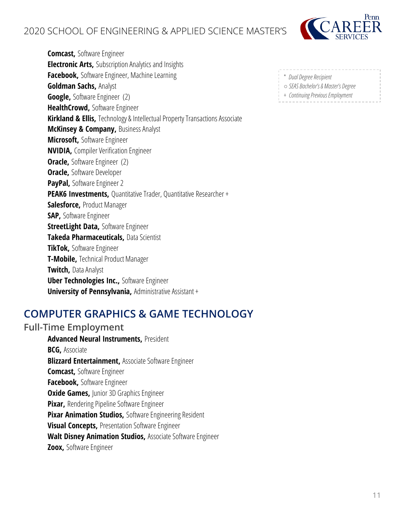

**Comcast,** Software Engineer **Electronic Arts,** Subscription Analytics and Insights **Facebook,** Software Engineer, Machine Learning **Goldman Sachs,** Analyst **Google,** Software Engineer (2) **HealthCrowd,** Software Engineer **Kirkland & Ellis,** Technology & Intellectual Property Transactions Associate **McKinsey & Company,** Business Analyst **Microsoft,** Software Engineer **NVIDIA,** Compiler Verification Engineer **Oracle, Software Engineer (2) Oracle,** Software Developer **PayPal,** Software Engineer 2 **PEAK6 Investments, Quantitative Trader, Quantitative Researcher + Salesforce,** Product Manager **SAP,** Software Engineer **StreetLight Data,** Software Engineer **Takeda Pharmaceuticals,** Data Scientist **TikTok,** Software Engineer **T-Mobile,** Technical Product Manager **Twitch,** Data Analyst **Uber Technologies Inc., Software Engineer University of Pennsylvania,** Administrative Assistant +

### <span id="page-10-0"></span>**COMPUTER GRAPHICS & GAME TECHNOLOGY**

#### **Full-Time Employment**

**Advanced Neural Instruments,** President **BCG,** Associate **Blizzard Entertainment,** Associate Software Engineer **Comcast,** Software Engineer **Facebook,** Software Engineer **Oxide Games,** *Junior 3D Graphics Engineer* **Pixar,** Rendering Pipeline Software Engineer **Pixar Animation Studios,** Software Engineering Resident **Visual Concepts,** Presentation Software Engineer **Walt Disney Animation Studios,** Associate Software Engineer **Zoox,** Software Engineer

- \* *Dual Degree Recipient*
- 
- *SEAS Bachelor's & Master's Degree*
- + *Continuing Previous Employment*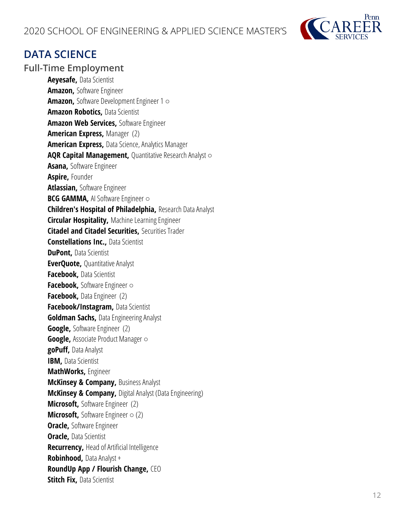

### <span id="page-11-0"></span>**DATA SCIENCE**

#### **Full-Time Employment**

**Aeyesafe,** Data Scientist **Amazon,** Software Engineer **Amazon,** Software Development Engineer 1 ○ **Amazon Robotics,** Data Scientist **Amazon Web Services,** Software Engineer **American Express,** Manager (2) **American Express,** Data Science, Analytics Manager **AQR Capital Management, Quantitative Research Analyst o Asana,** Software Engineer **Aspire,** Founder **Atlassian,** Software Engineer **BCG GAMMA, AI Software Engineer ○ Children's Hospital of Philadelphia,** Research Data Analyst **Circular Hospitality,** Machine Learning Engineer **Citadel and Citadel Securities,** Securities Trader **Constellations Inc., Data Scientist DuPont, Data Scientist EverQuote, Quantitative Analyst Facebook,** Data Scientist **Facebook,** Software Engineer ○ **Facebook,** Data Engineer (2) **Facebook/Instagram,** Data Scientist **Goldman Sachs,** Data Engineering Analyst **Google,** Software Engineer (2) Google, Associate Product Manager o **goPuff,** Data Analyst **IBM, Data Scientist MathWorks,** Engineer **McKinsey & Company, Business Analyst McKinsey & Company,** Digital Analyst (Data Engineering) **Microsoft,** Software Engineer (2) **Microsoft, Software Engineer ○ (2) Oracle,** Software Engineer **Oracle, Data Scientist Recurrency,** Head of Artificial Intelligence **Robinhood,** Data Analyst + **RoundUp App / Flourish Change,** CEO **Stitch Fix, Data Scientist**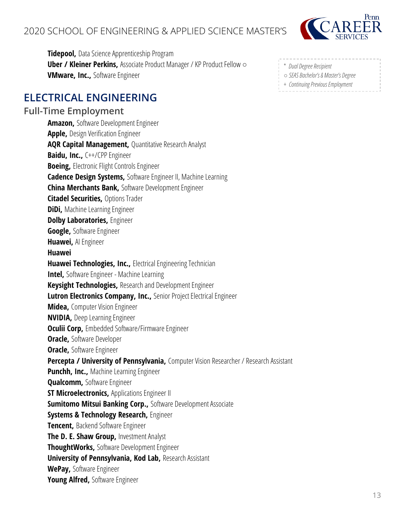

**Tidepool,** Data Science Apprenticeship Program **Uber / Kleiner Perkins,** Associate Product Manager / KP Product Fellow ○ **VMware, Inc.,** Software Engineer

### <span id="page-12-0"></span>**ELECTRICAL ENGINEERING**

#### **Full-Time Employment**

**Amazon,** Software Development Engineer **Apple,** Design Verification Engineer **AQR Capital Management, Quantitative Research Analyst Baidu, Inc., C++/CPP Engineer Boeing,** Electronic Flight Controls Engineer **Cadence Design Systems,** Software Engineer II, Machine Learning **China Merchants Bank,** Software Development Engineer **Citadel Securities,** Options Trader **DiDi,** Machine Learning Engineer **Dolby Laboratories,** Engineer **Google,** Software Engineer **Huawei,** AI Engineer **Huawei Huawei Technologies, Inc.,** Electrical Engineering Technician **Intel,** Software Engineer - Machine Learning **Keysight Technologies,** Research and Development Engineer **Lutron Electronics Company, Inc.,** Senior Project Electrical Engineer **Midea,** Computer Vision Engineer **NVIDIA,** Deep Learning Engineer **Oculii Corp,** Embedded Software/Firmware Engineer **Oracle,** Software Developer **Oracle,** Software Engineer **Percepta / University of Pennsylvania, Computer Vision Researcher / Research Assistant Punchh, Inc.,** Machine Learning Engineer **Qualcomm,** Software Engineer **ST Microelectronics, Applications Engineer II Sumitomo Mitsui Banking Corp.,** Software Development Associate **Systems & Technology Research,** Engineer **Tencent,** Backend Software Engineer **The D. E. Shaw Group,** Investment Analyst **ThoughtWorks,** Software Development Engineer **University of Pennsylvania, Kod Lab,** Research Assistant **WePay,** Software Engineer **Young Alfred,** Software Engineer

- \* *Dual Degree Recipient*
- *SEAS Bachelor's & Master's Degree*
- + *Continuing Previous Employment*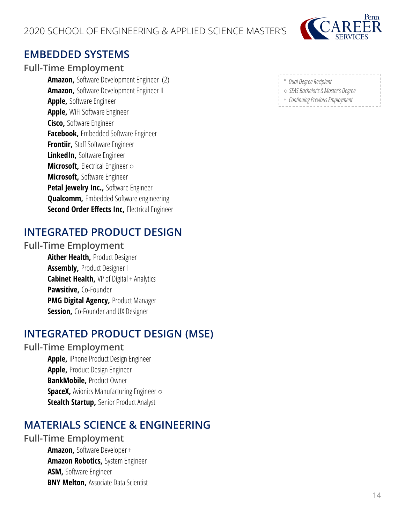

### <span id="page-13-0"></span>**EMBEDDED SYSTEMS**

#### **Full-Time Employment**

**Amazon,** Software Development Engineer (2) **Amazon,** Software Development Engineer II **Apple,** Software Engineer **Apple,** WiFi Software Engineer **Cisco,** Software Engineer **Facebook,** Embedded Software Engineer **Frontiir,** Staff Software Engineer **LinkedIn,** Software Engineer **Microsoft, Electrical Engineer ○ Microsoft,** Software Engineer **Petal Jewelry Inc., Software Engineer Qualcomm,** Embedded Software engineering **Second Order Effects Inc,** Electrical Engineer

### <span id="page-13-1"></span>**INTEGRATED PRODUCT DESIGN**

#### **Full-Time Employment**

**Aither Health,** Product Designer **Assembly,** Product Designer I **Cabinet Health, VP of Digital + Analytics Pawsitive,** Co-Founder **PMG Digital Agency,** Product Manager **Session, Co-Founder and UX Designer** 

### <span id="page-13-2"></span>**INTEGRATED PRODUCT DESIGN (MSE)**

#### **Full-Time Employment**

**Apple,** iPhone Product Design Engineer **Apple,** Product Design Engineer **BankMobile,** Product Owner **SpaceX, Avionics Manufacturing Engineer ○ Stealth Startup,** Senior Product Analyst

### <span id="page-13-3"></span>**MATERIALS SCIENCE & ENGINEERING**

#### **Full-Time Employment**

**Amazon,** Software Developer + **Amazon Robotics,** System Engineer **ASM,** Software Engineer **BNY Melton, Associate Data Scientist** 

- \* *Dual Degree Recipient*
- *SEAS Bachelor's & Master's Degree*
- + *Continuing Previous Employment*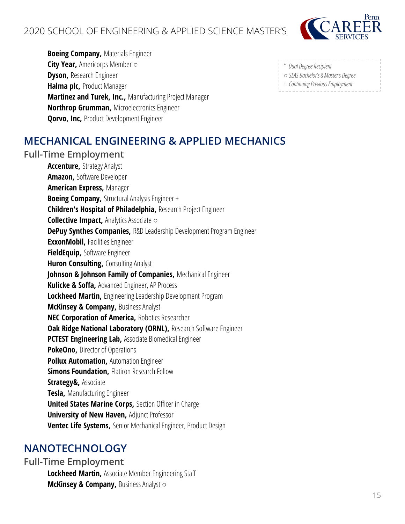

**Boeing Company,** Materials Engineer **City Year,** Americorps Member ○ **Dyson,** Research Engineer **Halma plc,** Product Manager **Martinez and Turek, Inc.,** Manufacturing Project Manager **Northrop Grumman,** Microelectronics Engineer **Qorvo, Inc,** Product Development Engineer

| * Dual Degree Recipient             |  |
|-------------------------------------|--|
| ○ SEAS Bachelor's & Master's Degree |  |
| + Continuing Previous Employment    |  |

### <span id="page-14-0"></span>**MECHANICAL ENGINEERING & APPLIED MECHANICS**

#### **Full-Time Employment**

**Accenture,** Strategy Analyst **Amazon,** Software Developer **American Express,** Manager **Boeing Company,** Structural Analysis Engineer + **Children's Hospital of Philadelphia,** Research Project Engineer **Collective Impact,** Analytics Associate ○ **DePuy Synthes Companies,** R&D Leadership Development Program Engineer **ExxonMobil,** Facilities Engineer **FieldEquip,** Software Engineer **Huron Consulting, Consulting Analyst Johnson & Johnson Family of Companies,** Mechanical Engineer **Kulicke & Soffa,** Advanced Engineer, AP Process **Lockheed Martin,** Engineering Leadership Development Program **McKinsey & Company, Business Analyst NEC Corporation of America,** Robotics Researcher **Oak Ridge National Laboratory (ORNL), Research Software Engineer PCTEST Engineering Lab,** Associate Biomedical Engineer **PokeOno,** Director of Operations **Pollux Automation,** Automation Engineer **Simons Foundation,** Flatiron Research Fellow **Strategy&,** Associate **Tesla,** Manufacturing Engineer **United States Marine Corps, Section Officer in Charge University of New Haven,** Adjunct Professor **Ventec Life Systems,** Senior Mechanical Engineer, Product Design

### <span id="page-14-1"></span>**NANOTECHNOLOGY**

#### **Full-Time Employment**

**Lockheed Martin,** Associate Member Engineering Staff **McKinsey & Company,** Business Analyst ○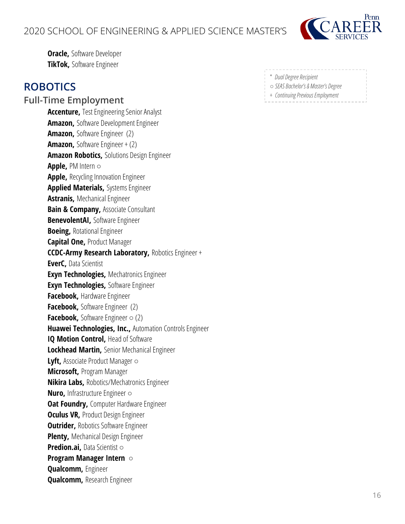#### 2020 SCHOOL OF ENGINEERING & APPLIED SCIENCE MASTER'S



**Oracle,** Software Developer **TikTok,** Software Engineer

### <span id="page-15-0"></span>**ROBOTICS**

**Full-Time Employment Accenture,** Test Engineering Senior Analyst **Amazon,** Software Development Engineer **Amazon,** Software Engineer (2) **Amazon,** Software Engineer + (2) **Amazon Robotics,** Solutions Design Engineer **Apple,** PM Intern ○ **Apple,** Recycling Innovation Engineer **Applied Materials,** Systems Engineer **Astranis,** Mechanical Engineer **Bain & Company, Associate Consultant BenevolentAI,** Software Engineer **Boeing,** Rotational Engineer **Capital One,** Product Manager **CCDC-Army Research Laboratory,** Robotics Engineer + **EverC,** Data Scientist **Exyn Technologies,** Mechatronics Engineer **Exyn Technologies,** Software Engineer **Facebook,** Hardware Engineer **Facebook,** Software Engineer (2) **Facebook,** Software Engineer ○ (2) **Huawei Technologies, Inc.,** Automation Controls Engineer **IQ Motion Control, Head of Software Lockhead Martin,** Senior Mechanical Engineer **Lyft,** Associate Product Manager ○ **Microsoft,** Program Manager **Nikira Labs,** Robotics/Mechatronics Engineer **Nuro, Infrastructure Engineer ○ Oat Foundry, Computer Hardware Engineer Oculus VR, Product Design Engineer Outrider, Robotics Software Engineer Plenty,** Mechanical Design Engineer **Predion.ai,** Data Scientist ○ **Program Manager Intern** ○ **Qualcomm,** Engineer **Qualcomm,** Research Engineer

- \* *Dual Degree Recipient*
- *SEAS Bachelor's & Master's Degree*
- + *Continuing Previous Employment*